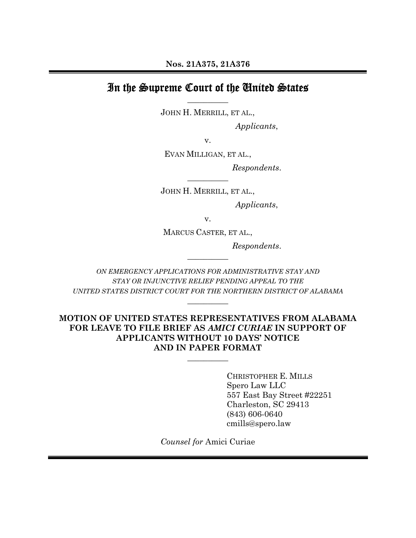# In the Supreme Court of the United States **\_\_\_\_\_\_\_\_\_\_**

JOHN H. MERRILL, ET AL.,

*Applicants*,

v.

EVAN MILLIGAN, ET AL.,

*Respondents*.

JOHN H. MERRILL, ET AL.,

**\_\_\_\_\_\_\_\_\_\_** 

*Applicants*,

v.

MARCUS CASTER, ET AL.,

*Respondents*.

*ON EMERGENCY APPLICATIONS FOR ADMINISTRATIVE STAY AND STAY OR INJUNCTIVE RELIEF PENDING APPEAL TO THE UNITED STATES DISTRICT COURT FOR THE NORTHERN DISTRICT OF ALABAMA*

**\_\_\_\_\_\_\_\_\_\_** 

**\_\_\_\_\_\_\_\_\_\_** 

## **MOTION OF UNITED STATES REPRESENTATIVES FROM ALABAMA FOR LEAVE TO FILE BRIEF AS** *AMICI CURIAE* **IN SUPPORT OF APPLICANTS WITHOUT 10 DAYS' NOTICE AND IN PAPER FORMAT**

**\_\_\_\_\_\_\_\_\_\_** 

 CHRISTOPHER E. MILLS Spero Law LLC 557 East Bay Street #22251 Charleston, SC 29413 (843) 606-0640 cmills@spero.law

*Counsel for* Amici Curiae

 $\overline{a}$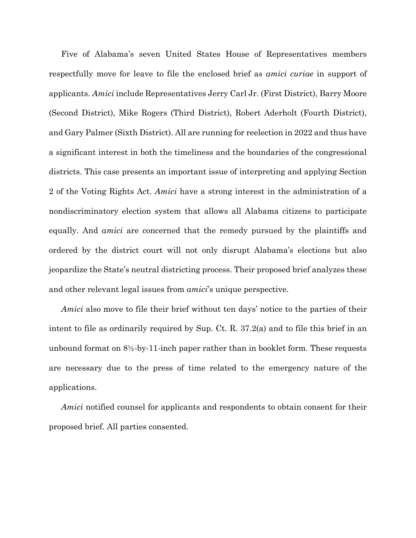Five of Alabama's seven United States House of Representatives members respectfully move for leave to file the enclosed brief as *amici curiae* in support of applicants. *Amici* include Representatives Jerry Carl Jr. (First District), Barry Moore (Second District), Mike Rogers (Third District), Robert Aderholt (Fourth District), and Gary Palmer (Sixth District). All are running for reelection in 2022 and thus have a significant interest in both the timeliness and the boundaries of the congressional districts. This case presents an important issue of interpreting and applying Section 2 of the Voting Rights Act. *Amici* have a strong interest in the administration of a nondiscriminatory election system that allows all Alabama citizens to participate equally. And *amici* are concerned that the remedy pursued by the plaintiffs and ordered by the district court will not only disrupt Alabama's elections but also jeopardize the State's neutral districting process. Their proposed brief analyzes these and other relevant legal issues from *amici*'s unique perspective.

*Amici* also move to file their brief without ten days' notice to the parties of their intent to file as ordinarily required by Sup. Ct. R. 37.2(a) and to file this brief in an unbound format on  $8\frac{1}{2}$ -by-11-inch paper rather than in booklet form. These requests are necessary due to the press of time related to the emergency nature of the applications.

*Amici* notified counsel for applicants and respondents to obtain consent for their proposed brief. All parties consented.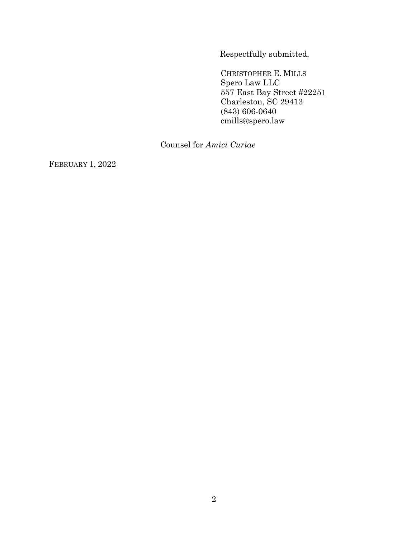Respectfully submitted,

 CHRISTOPHER E. MILLS Spero Law LLC 557 East Bay Street #22251 Charleston, SC 29413 (843) 606-0640 cmills@spero.law

Counsel for *Amici Curiae*

FEBRUARY 1, 2022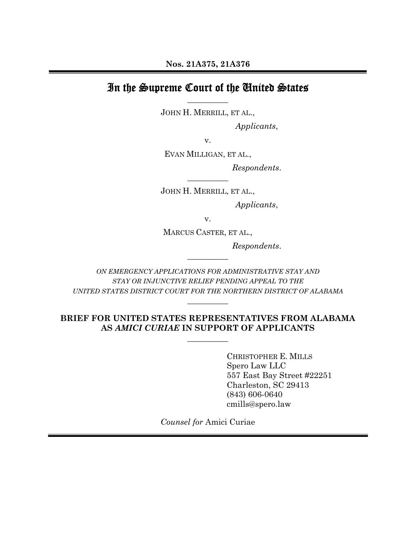# In the Supreme Court of the United States **\_\_\_\_\_\_\_\_\_\_**

JOHN H. MERRILL, ET AL.,

*Applicants*,

v.

EVAN MILLIGAN, ET AL.,

*Respondents*.

JOHN H. MERRILL, ET AL.,

**\_\_\_\_\_\_\_\_\_\_** 

*Applicants*,

v.

MARCUS CASTER, ET AL.,

*Respondents*.

*ON EMERGENCY APPLICATIONS FOR ADMINISTRATIVE STAY AND STAY OR INJUNCTIVE RELIEF PENDING APPEAL TO THE UNITED STATES DISTRICT COURT FOR THE NORTHERN DISTRICT OF ALABAMA*

**\_\_\_\_\_\_\_\_\_\_** 

**\_\_\_\_\_\_\_\_\_\_** 

## **BRIEF FOR UNITED STATES REPRESENTATIVES FROM ALABAMA AS** *AMICI CURIAE* **IN SUPPORT OF APPLICANTS**

**\_\_\_\_\_\_\_\_\_\_** 

 CHRISTOPHER E. MILLS Spero Law LLC 557 East Bay Street #22251 Charleston, SC 29413 (843) 606-0640 cmills@spero.law

*Counsel for* Amici Curiae  $\overline{a}$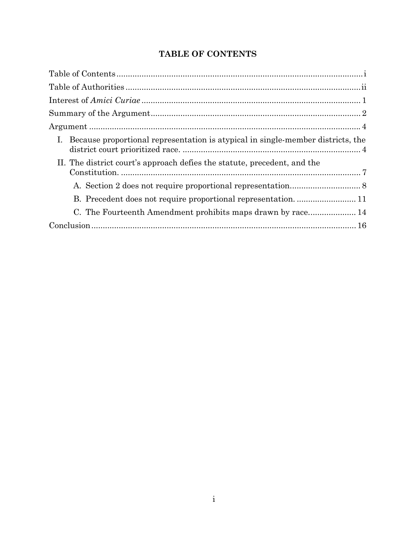# **TABLE OF CONTENTS**

| I. Because proportional representation is atypical in single-member districts, the |
|------------------------------------------------------------------------------------|
| II. The district court's approach defies the statute, precedent, and the           |
|                                                                                    |
|                                                                                    |
|                                                                                    |
|                                                                                    |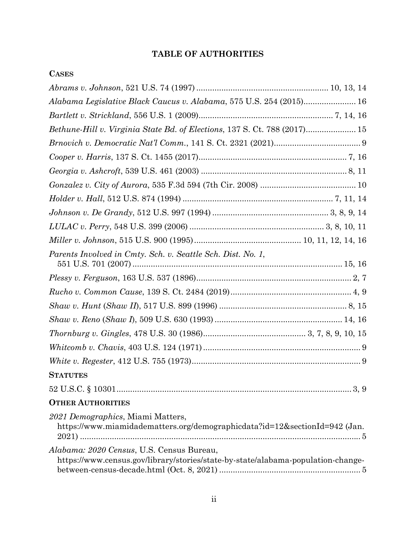# **TABLE OF AUTHORITIES**

| <b>CASES</b>                                                                                                                  |
|-------------------------------------------------------------------------------------------------------------------------------|
|                                                                                                                               |
| Alabama Legislative Black Caucus v. Alabama, 575 U.S. 254 (2015) 16                                                           |
|                                                                                                                               |
| Bethune-Hill v. Virginia State Bd. of Elections, 137 S. Ct. 788 (2017) 15                                                     |
|                                                                                                                               |
|                                                                                                                               |
|                                                                                                                               |
|                                                                                                                               |
|                                                                                                                               |
|                                                                                                                               |
|                                                                                                                               |
|                                                                                                                               |
| Parents Involved in Cmty. Sch. v. Seattle Sch. Dist. No. 1,                                                                   |
|                                                                                                                               |
|                                                                                                                               |
|                                                                                                                               |
|                                                                                                                               |
|                                                                                                                               |
|                                                                                                                               |
|                                                                                                                               |
| <b>STATUTES</b>                                                                                                               |
|                                                                                                                               |
| <b>OTHER AUTHORITIES</b>                                                                                                      |
| 2021 Demographics, Miami Matters,<br>https://www.miamidadematters.org/demographicdata?id=12&sectionId=942 (Jan.               |
| Alabama: 2020 Census, U.S. Census Bureau,<br>https://www.census.gov/library/stories/state-by-state/alabama-population-change- |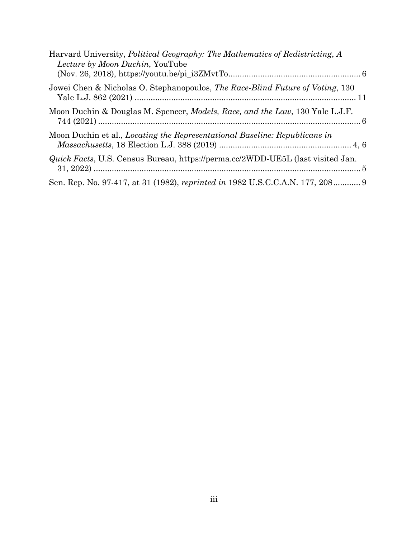| Harvard University, Political Geography: The Mathematics of Redistricting, A<br>Lecture by Moon Duchin, YouTube |  |
|-----------------------------------------------------------------------------------------------------------------|--|
| Jowei Chen & Nicholas O. Stephanopoulos, The Race-Blind Future of Voting, 130                                   |  |
| Moon Duchin & Douglas M. Spencer, <i>Models, Race, and the Law</i> , 130 Yale L.J.F.                            |  |
| Moon Duchin et al., Locating the Representational Baseline: Republicans in                                      |  |
| <i>Quick Facts</i> , U.S. Census Bureau, https://perma.cc/2WDD-UE5L (last visited Jan.                          |  |
| Sen. Rep. No. 97-417, at 31 (1982), reprinted in 1982 U.S.C.C.A.N. 177, 208 9                                   |  |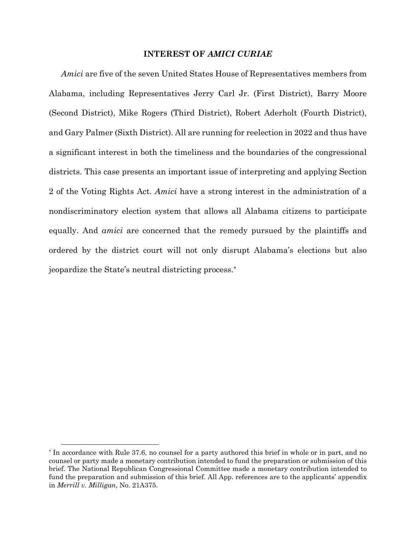### **INTEREST OF** *AMICI CURIAE*

*Amici* are five of the seven United States House of Representatives members from Alabama, including Representatives Jerry Carl Jr. (First District), Barry Moore (Second District), Mike Rogers (Third District), Robert Aderholt (Fourth District), and Gary Palmer (Sixth District). All are running for reelection in 2022 and thus have a significant interest in both the timeliness and the boundaries of the congressional districts. This case presents an important issue of interpreting and applying Section 2 of the Voting Rights Act. *Amici* have a strong interest in the administration of a nondiscriminatory election system that allows all Alabama citizens to participate equally. And *amici* are concerned that the remedy pursued by the plaintiffs and ordered by the district court will not only disrupt Alabama's elections but also jeopardize the State's neutral districting process.\*

<sup>\*</sup> In accordance with Rule 37.6, no counsel for a party authored this brief in whole or in part, and no counsel or party made a monetary contribution intended to fund the preparation or submission of this brief. The National Republican Congressional Committee made a monetary contribution intended to fund the preparation and submission of this brief. All App. references are to the applicants' appendix in *Merrill v. Milligan*, No. 21A375.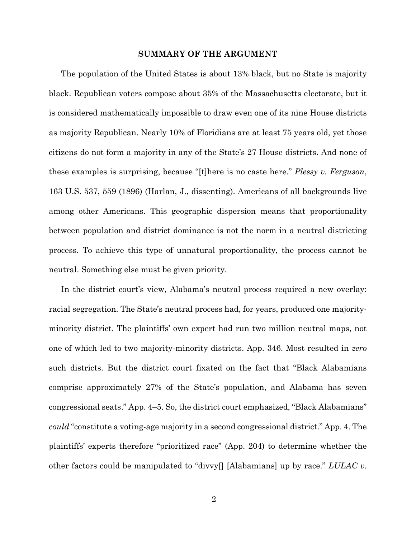#### **SUMMARY OF THE ARGUMENT**

The population of the United States is about 13% black, but no State is majority black. Republican voters compose about 35% of the Massachusetts electorate, but it is considered mathematically impossible to draw even one of its nine House districts as majority Republican. Nearly 10% of Floridians are at least 75 years old, yet those citizens do not form a majority in any of the State's 27 House districts. And none of these examples is surprising, because "[t]here is no caste here." *Plessy v. Ferguson*, 163 U.S. 537, 559 (1896) (Harlan, J., dissenting). Americans of all backgrounds live among other Americans. This geographic dispersion means that proportionality between population and district dominance is not the norm in a neutral districting process. To achieve this type of unnatural proportionality, the process cannot be neutral. Something else must be given priority.

In the district court's view, Alabama's neutral process required a new overlay: racial segregation. The State's neutral process had, for years, produced one majorityminority district. The plaintiffs' own expert had run two million neutral maps, not one of which led to two majority-minority districts. App. 346. Most resulted in *zero* such districts. But the district court fixated on the fact that "Black Alabamians comprise approximately 27% of the State's population, and Alabama has seven congressional seats." App. 4–5. So, the district court emphasized, "Black Alabamians" *could* "constitute a voting-age majority in a second congressional district." App. 4. The plaintiffs' experts therefore "prioritized race" (App. 204) to determine whether the other factors could be manipulated to "divvy[] [Alabamians] up by race." *LULAC v.*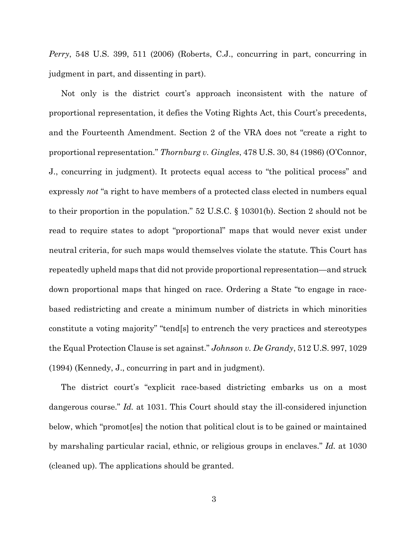*Perry*, 548 U.S. 399, 511 (2006) (Roberts, C.J., concurring in part, concurring in judgment in part, and dissenting in part).

Not only is the district court's approach inconsistent with the nature of proportional representation, it defies the Voting Rights Act, this Court's precedents, and the Fourteenth Amendment. Section 2 of the VRA does not "create a right to proportional representation." *Thornburg v. Gingles*, 478 U.S. 30, 84 (1986) (O'Connor, J., concurring in judgment). It protects equal access to "the political process" and expressly *not* "a right to have members of a protected class elected in numbers equal to their proportion in the population." 52 U.S.C. § 10301(b). Section 2 should not be read to require states to adopt "proportional" maps that would never exist under neutral criteria, for such maps would themselves violate the statute. This Court has repeatedly upheld maps that did not provide proportional representation—and struck down proportional maps that hinged on race. Ordering a State "to engage in racebased redistricting and create a minimum number of districts in which minorities constitute a voting majority" "tend[s] to entrench the very practices and stereotypes the Equal Protection Clause is set against." *Johnson v. De Grandy*, 512 U.S. 997, 1029 (1994) (Kennedy, J., concurring in part and in judgment).

The district court's "explicit race-based districting embarks us on a most dangerous course." *Id.* at 1031. This Court should stay the ill-considered injunction below, which "promot[es] the notion that political clout is to be gained or maintained by marshaling particular racial, ethnic, or religious groups in enclaves." *Id.* at 1030 (cleaned up). The applications should be granted.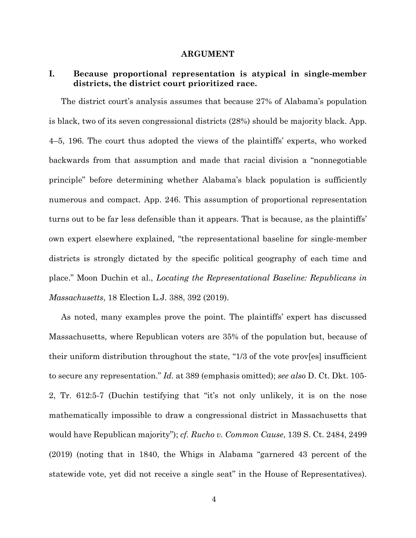#### **ARGUMENT**

## **I. Because proportional representation is atypical in single-member districts, the district court prioritized race.**

The district court's analysis assumes that because 27% of Alabama's population is black, two of its seven congressional districts (28%) should be majority black. App. 4–5, 196. The court thus adopted the views of the plaintiffs' experts, who worked backwards from that assumption and made that racial division a "nonnegotiable principle" before determining whether Alabama's black population is sufficiently numerous and compact. App. 246. This assumption of proportional representation turns out to be far less defensible than it appears. That is because, as the plaintiffs' own expert elsewhere explained, "the representational baseline for single-member districts is strongly dictated by the specific political geography of each time and place." Moon Duchin et al., *Locating the Representational Baseline: Republicans in Massachusetts*, 18 Election L.J. 388, 392 (2019).

As noted, many examples prove the point. The plaintiffs' expert has discussed Massachusetts, where Republican voters are 35% of the population but, because of their uniform distribution throughout the state, "1/3 of the vote prov[es] insufficient to secure any representation." *Id.* at 389 (emphasis omitted); *see also* D. Ct. Dkt. 105- 2, Tr. 612:5-7 (Duchin testifying that "it's not only unlikely, it is on the nose mathematically impossible to draw a congressional district in Massachusetts that would have Republican majority"); *cf. Rucho v. Common Cause*, 139 S. Ct. 2484, 2499 (2019) (noting that in 1840, the Whigs in Alabama "garnered 43 percent of the statewide vote, yet did not receive a single seat" in the House of Representatives).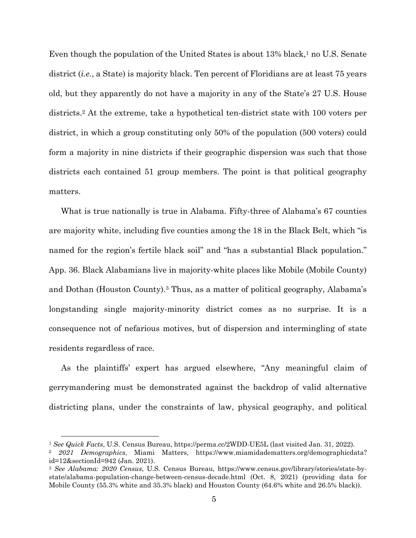Even though the population of the United States is about  $13\%$  black,<sup>1</sup> no U.S. Senate district *(i.e., a State)* is majority black. Ten percent of Floridians are at least 75 years old, but they apparently do not have a majority in any of the State's 27 U.S. House districts.2 At the extreme, take a hypothetical ten-district state with 100 voters per district, in which a group constituting only 50% of the population (500 voters) could form a majority in nine districts if their geographic dispersion was such that those districts each contained 51 group members. The point is that political geography matters.

What is true nationally is true in Alabama. Fifty-three of Alabama's 67 counties are majority white, including five counties among the 18 in the Black Belt, which "is named for the region's fertile black soil" and "has a substantial Black population." App. 36. Black Alabamians live in majority-white places like Mobile (Mobile County) and Dothan (Houston County).3 Thus, as a matter of political geography, Alabama's longstanding single majority-minority district comes as no surprise. It is a consequence not of nefarious motives, but of dispersion and intermingling of state residents regardless of race.

As the plaintiffs' expert has argued elsewhere, "Any meaningful claim of gerrymandering must be demonstrated against the backdrop of valid alternative districting plans, under the constraints of law, physical geography, and political

<sup>&</sup>lt;sup>1</sup> *See Quick Facts*, U.S. Census Bureau, https://perma.cc/2WDD-UE5L (last visited Jan. 31, 2022).<br><sup>2</sup> *2021 Demographics*, Miami Matters, https://www.miamidadematters.org/demographicdata?

id=12&sectionId=942 (Jan. 2021).

<sup>3</sup> *See Alabama: 2020 Census*, U.S. Census Bureau, https://www.census.gov/library/stories/state-bystate/alabama-population-change-between-census-decade.html (Oct. 8, 2021) (providing data for Mobile County (55.3% white and 35.3% black) and Houston County (64.6% white and 26.5% black)).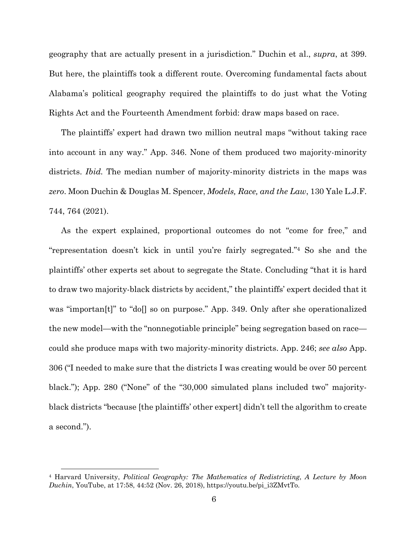geography that are actually present in a jurisdiction." Duchin et al., *supra*, at 399. But here, the plaintiffs took a different route. Overcoming fundamental facts about Alabama's political geography required the plaintiffs to do just what the Voting Rights Act and the Fourteenth Amendment forbid: draw maps based on race.

The plaintiffs' expert had drawn two million neutral maps "without taking race into account in any way." App. 346. None of them produced two majority-minority districts. *Ibid.* The median number of majority-minority districts in the maps was *zero*. Moon Duchin & Douglas M. Spencer, *Models, Race, and the Law*, 130 Yale L.J.F. 744, 764 (2021).

As the expert explained, proportional outcomes do not "come for free," and "representation doesn't kick in until you're fairly segregated."4 So she and the plaintiffs' other experts set about to segregate the State. Concluding "that it is hard to draw two majority-black districts by accident," the plaintiffs' expert decided that it was "importan<sup>[t]"</sup> to "do<sup>[]</sup> so on purpose." App. 349. Only after she operationalized the new model—with the "nonnegotiable principle" being segregation based on race could she produce maps with two majority-minority districts. App. 246; *see also* App. 306 ("I needed to make sure that the districts I was creating would be over 50 percent black."); App. 280 ("None" of the "30,000 simulated plans included two" majorityblack districts "because [the plaintiffs' other expert] didn't tell the algorithm to create a second.").

<sup>4</sup> Harvard University, *Political Geography: The Mathematics of Redistricting*, *A Lecture by Moon Duchin*, YouTube, at 17:58, 44:52 (Nov. 26, 2018), https://youtu.be/pi\_i3ZMvtTo.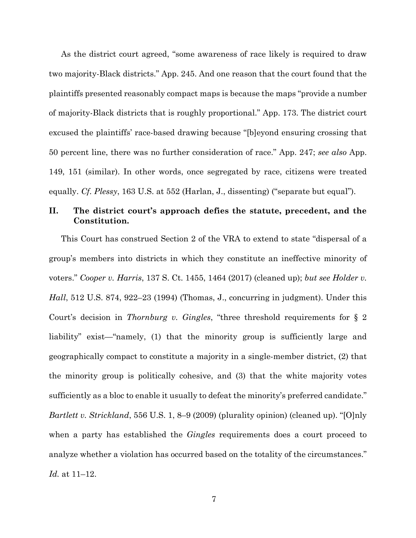As the district court agreed, "some awareness of race likely is required to draw two majority-Black districts." App. 245. And one reason that the court found that the plaintiffs presented reasonably compact maps is because the maps "provide a number of majority-Black districts that is roughly proportional." App. 173. The district court excused the plaintiffs' race-based drawing because "[b]eyond ensuring crossing that 50 percent line, there was no further consideration of race." App. 247; *see also* App. 149, 151 (similar). In other words, once segregated by race, citizens were treated equally. *Cf. Plessy*, 163 U.S. at 552 (Harlan, J., dissenting) ("separate but equal").

## **II. The district court's approach defies the statute, precedent, and the Constitution.**

This Court has construed Section 2 of the VRA to extend to state "dispersal of a group's members into districts in which they constitute an ineffective minority of voters." *Cooper v. Harris*, 137 S. Ct. 1455, 1464 (2017) (cleaned up); *but see Holder v. Hall*, 512 U.S. 874, 922–23 (1994) (Thomas, J., concurring in judgment). Under this Court's decision in *Thornburg v. Gingles*, "three threshold requirements for § 2 liability" exist—"namely, (1) that the minority group is sufficiently large and geographically compact to constitute a majority in a single-member district, (2) that the minority group is politically cohesive, and (3) that the white majority votes sufficiently as a bloc to enable it usually to defeat the minority's preferred candidate." *Bartlett v. Strickland*, 556 U.S. 1, 8–9 (2009) (plurality opinion) (cleaned up). "[O]nly when a party has established the *Gingles* requirements does a court proceed to analyze whether a violation has occurred based on the totality of the circumstances." *Id.* at 11–12.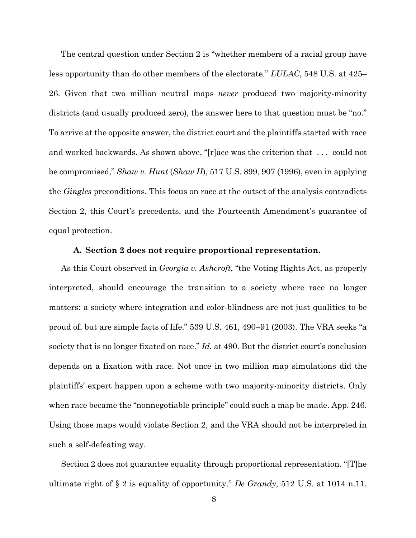The central question under Section 2 is "whether members of a racial group have less opportunity than do other members of the electorate." *LULAC*, 548 U.S. at 425– 26. Given that two million neutral maps *never* produced two majority-minority districts (and usually produced zero), the answer here to that question must be "no." To arrive at the opposite answer, the district court and the plaintiffs started with race and worked backwards. As shown above, "[r]ace was the criterion that . . . could not be compromised," *Shaw v. Hunt* (*Shaw II*), 517 U.S. 899, 907 (1996), even in applying the *Gingles* preconditions. This focus on race at the outset of the analysis contradicts Section 2, this Court's precedents, and the Fourteenth Amendment's guarantee of equal protection.

### **A. Section 2 does not require proportional representation.**

As this Court observed in *Georgia v. Ashcroft*, "the Voting Rights Act, as properly interpreted, should encourage the transition to a society where race no longer matters: a society where integration and color-blindness are not just qualities to be proud of, but are simple facts of life." 539 U.S. 461, 490–91 (2003). The VRA seeks "a society that is no longer fixated on race." *Id.* at 490. But the district court's conclusion depends on a fixation with race. Not once in two million map simulations did the plaintiffs' expert happen upon a scheme with two majority-minority districts. Only when race became the "nonnegotiable principle" could such a map be made. App. 246. Using those maps would violate Section 2, and the VRA should not be interpreted in such a self-defeating way.

Section 2 does not guarantee equality through proportional representation. "[T]he ultimate right of § 2 is equality of opportunity." *De Grandy*, 512 U.S. at 1014 n.11.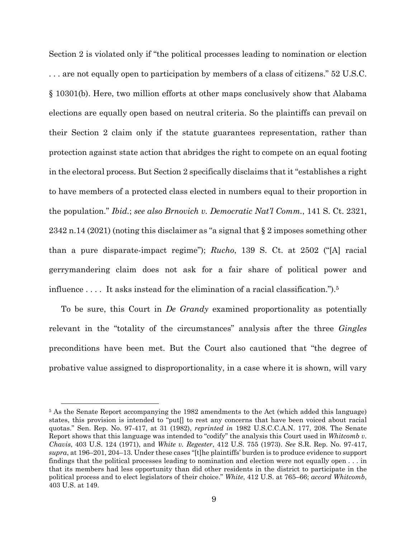Section 2 is violated only if "the political processes leading to nomination or election . . . are not equally open to participation by members of a class of citizens." 52 U.S.C. § 10301(b). Here, two million efforts at other maps conclusively show that Alabama elections are equally open based on neutral criteria. So the plaintiffs can prevail on their Section 2 claim only if the statute guarantees representation, rather than protection against state action that abridges the right to compete on an equal footing in the electoral process. But Section 2 specifically disclaims that it "establishes a right to have members of a protected class elected in numbers equal to their proportion in the population." *Ibid.*; *see also Brnovich v. Democratic Nat'l Comm.*, 141 S. Ct. 2321, 2342 n.14 (2021) (noting this disclaimer as "a signal that § 2 imposes something other than a pure disparate-impact regime"); *Rucho*, 139 S. Ct. at 2502 ("[A] racial gerrymandering claim does not ask for a fair share of political power and influence . . . . It asks instead for the elimination of a racial classification.").5

To be sure, this Court in *De Grandy* examined proportionality as potentially relevant in the "totality of the circumstances" analysis after the three *Gingles* preconditions have been met. But the Court also cautioned that "the degree of probative value assigned to disproportionality, in a case where it is shown, will vary

<sup>&</sup>lt;sup>5</sup> As the Senate Report accompanying the 1982 amendments to the Act (which added this language) states, this provision is intended to "put[] to rest any concerns that have been voiced about racial quotas." Sen. Rep. No. 97-417, at 31 (1982), *reprinted in* 1982 U.S.C.C.A.N. 177, 208. The Senate Report shows that this language was intended to "codify" the analysis this Court used in *Whitcomb v. Chavis*, 403 U.S. 124 (1971), and *White v. Regester*, 412 U.S. 755 (1973). *See* S.R. Rep. No. 97-417, *supra*, at 196–201, 204–13. Under these cases "[t]he plaintiffs' burden is to produce evidence to support findings that the political processes leading to nomination and election were not equally open . . . in that its members had less opportunity than did other residents in the district to participate in the political process and to elect legislators of their choice." *White*, 412 U.S. at 765–66; *accord Whitcomb*, 403 U.S. at 149.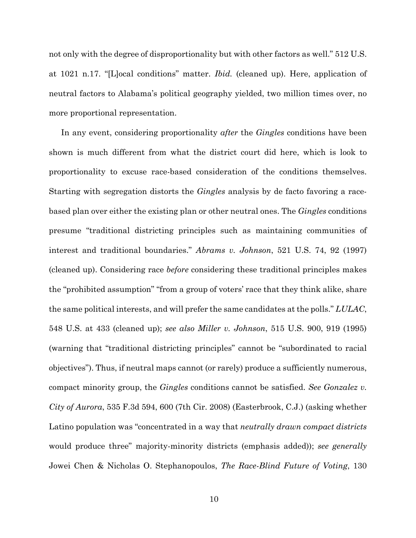not only with the degree of disproportionality but with other factors as well." 512 U.S. at 1021 n.17. "[L]ocal conditions" matter. *Ibid.* (cleaned up). Here, application of neutral factors to Alabama's political geography yielded, two million times over, no more proportional representation.

In any event, considering proportionality *after* the *Gingles* conditions have been shown is much different from what the district court did here, which is look to proportionality to excuse race-based consideration of the conditions themselves. Starting with segregation distorts the *Gingles* analysis by de facto favoring a racebased plan over either the existing plan or other neutral ones. The *Gingles* conditions presume "traditional districting principles such as maintaining communities of interest and traditional boundaries." *Abrams v. Johnson*, 521 U.S. 74, 92 (1997) (cleaned up). Considering race *before* considering these traditional principles makes the "prohibited assumption" "from a group of voters' race that they think alike, share the same political interests, and will prefer the same candidates at the polls." *LULAC*, 548 U.S. at 433 (cleaned up); *see also Miller v. Johnson*, 515 U.S. 900, 919 (1995) (warning that "traditional districting principles" cannot be "subordinated to racial objectives"). Thus, if neutral maps cannot (or rarely) produce a sufficiently numerous, compact minority group, the *Gingles* conditions cannot be satisfied. *See Gonzalez v. City of Aurora*, 535 F.3d 594, 600 (7th Cir. 2008) (Easterbrook, C.J.) (asking whether Latino population was "concentrated in a way that *neutrally drawn compact districts* would produce three" majority-minority districts (emphasis added)); *see generally* Jowei Chen & Nicholas O. Stephanopoulos, *The Race-Blind Future of Voting*, 130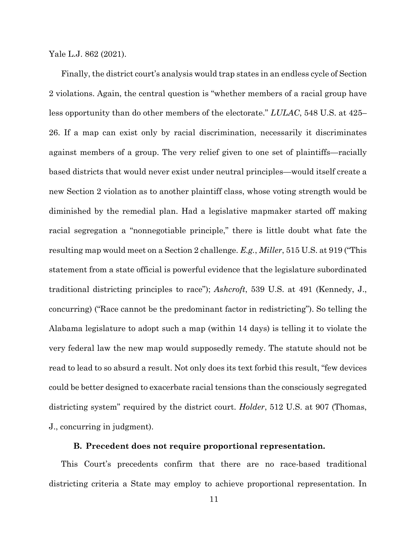Yale L.J. 862 (2021).

Finally, the district court's analysis would trap states in an endless cycle of Section 2 violations. Again, the central question is "whether members of a racial group have less opportunity than do other members of the electorate." *LULAC*, 548 U.S. at 425– 26. If a map can exist only by racial discrimination, necessarily it discriminates against members of a group. The very relief given to one set of plaintiffs—racially based districts that would never exist under neutral principles—would itself create a new Section 2 violation as to another plaintiff class, whose voting strength would be diminished by the remedial plan. Had a legislative mapmaker started off making racial segregation a "nonnegotiable principle," there is little doubt what fate the resulting map would meet on a Section 2 challenge. *E.g.*, *Miller*, 515 U.S. at 919 ("This statement from a state official is powerful evidence that the legislature subordinated traditional districting principles to race"); *Ashcroft*, 539 U.S. at 491 (Kennedy, J., concurring) ("Race cannot be the predominant factor in redistricting"). So telling the Alabama legislature to adopt such a map (within 14 days) is telling it to violate the very federal law the new map would supposedly remedy. The statute should not be read to lead to so absurd a result. Not only does its text forbid this result, "few devices could be better designed to exacerbate racial tensions than the consciously segregated districting system" required by the district court. *Holder*, 512 U.S. at 907 (Thomas, J., concurring in judgment).

### **B. Precedent does not require proportional representation.**

This Court's precedents confirm that there are no race-based traditional districting criteria a State may employ to achieve proportional representation. In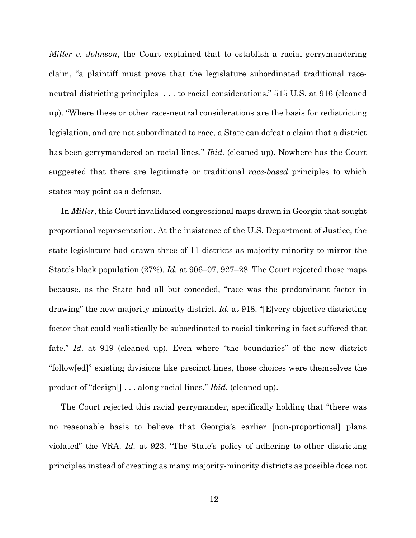*Miller v. Johnson*, the Court explained that to establish a racial gerrymandering claim, "a plaintiff must prove that the legislature subordinated traditional raceneutral districting principles . . . to racial considerations." 515 U.S. at 916 (cleaned up). "Where these or other race-neutral considerations are the basis for redistricting legislation, and are not subordinated to race, a State can defeat a claim that a district has been gerrymandered on racial lines." *Ibid.* (cleaned up). Nowhere has the Court suggested that there are legitimate or traditional *race-based* principles to which states may point as a defense.

In *Miller*, this Court invalidated congressional maps drawn in Georgia that sought proportional representation. At the insistence of the U.S. Department of Justice, the state legislature had drawn three of 11 districts as majority-minority to mirror the State's black population (27%). *Id.* at 906–07, 927–28. The Court rejected those maps because, as the State had all but conceded, "race was the predominant factor in drawing" the new majority-minority district. *Id.* at 918. "[E]very objective districting factor that could realistically be subordinated to racial tinkering in fact suffered that fate." *Id.* at 919 (cleaned up). Even where "the boundaries" of the new district "follow[ed]" existing divisions like precinct lines, those choices were themselves the product of "design[] . . . along racial lines." *Ibid.* (cleaned up).

The Court rejected this racial gerrymander, specifically holding that "there was no reasonable basis to believe that Georgia's earlier [non-proportional] plans violated" the VRA. *Id.* at 923. "The State's policy of adhering to other districting principles instead of creating as many majority-minority districts as possible does not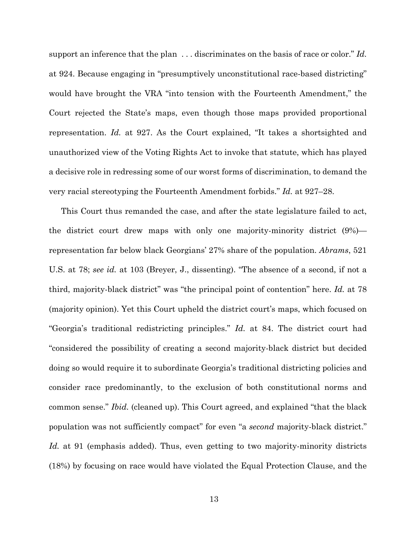support an inference that the plan . . . discriminates on the basis of race or color." *Id.* at 924. Because engaging in "presumptively unconstitutional race-based districting" would have brought the VRA "into tension with the Fourteenth Amendment," the Court rejected the State's maps, even though those maps provided proportional representation. *Id.* at 927. As the Court explained, "It takes a shortsighted and unauthorized view of the Voting Rights Act to invoke that statute, which has played a decisive role in redressing some of our worst forms of discrimination, to demand the very racial stereotyping the Fourteenth Amendment forbids." *Id.* at 927–28.

This Court thus remanded the case, and after the state legislature failed to act, the district court drew maps with only one majority-minority district (9%) representation far below black Georgians' 27% share of the population. *Abrams*, 521 U.S. at 78; *see id.* at 103 (Breyer, J., dissenting). "The absence of a second, if not a third, majority-black district" was "the principal point of contention" here. *Id.* at 78 (majority opinion). Yet this Court upheld the district court's maps, which focused on "Georgia's traditional redistricting principles." *Id.* at 84. The district court had "considered the possibility of creating a second majority-black district but decided doing so would require it to subordinate Georgia's traditional districting policies and consider race predominantly, to the exclusion of both constitutional norms and common sense." *Ibid.* (cleaned up). This Court agreed, and explained "that the black population was not sufficiently compact" for even "a *second* majority-black district." *Id.* at 91 (emphasis added). Thus, even getting to two majority-minority districts (18%) by focusing on race would have violated the Equal Protection Clause, and the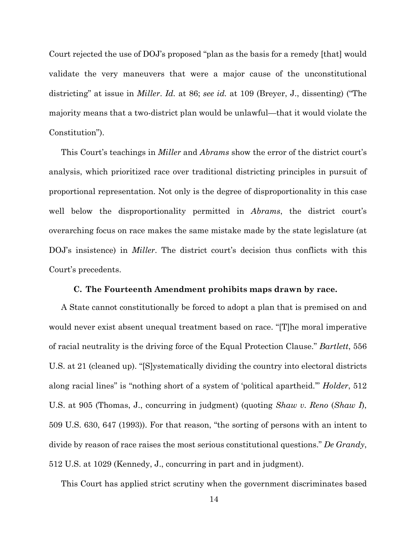Court rejected the use of DOJ's proposed "plan as the basis for a remedy [that] would validate the very maneuvers that were a major cause of the unconstitutional districting" at issue in *Miller*. *Id.* at 86; *see id.* at 109 (Breyer, J., dissenting) ("The majority means that a two-district plan would be unlawful—that it would violate the Constitution").

This Court's teachings in *Miller* and *Abrams* show the error of the district court's analysis, which prioritized race over traditional districting principles in pursuit of proportional representation. Not only is the degree of disproportionality in this case well below the disproportionality permitted in *Abrams*, the district court's overarching focus on race makes the same mistake made by the state legislature (at DOJ's insistence) in *Miller*. The district court's decision thus conflicts with this Court's precedents.

### **C. The Fourteenth Amendment prohibits maps drawn by race.**

A State cannot constitutionally be forced to adopt a plan that is premised on and would never exist absent unequal treatment based on race. "[T]he moral imperative of racial neutrality is the driving force of the Equal Protection Clause." *Bartlett*, 556 U.S. at 21 (cleaned up). "[S]ystematically dividing the country into electoral districts along racial lines" is "nothing short of a system of 'political apartheid.'" *Holder*, 512 U.S. at 905 (Thomas, J., concurring in judgment) (quoting *Shaw v. Reno* (*Shaw I*), 509 U.S. 630, 647 (1993)). For that reason, "the sorting of persons with an intent to divide by reason of race raises the most serious constitutional questions." *De Grandy*, 512 U.S. at 1029 (Kennedy, J., concurring in part and in judgment).

This Court has applied strict scrutiny when the government discriminates based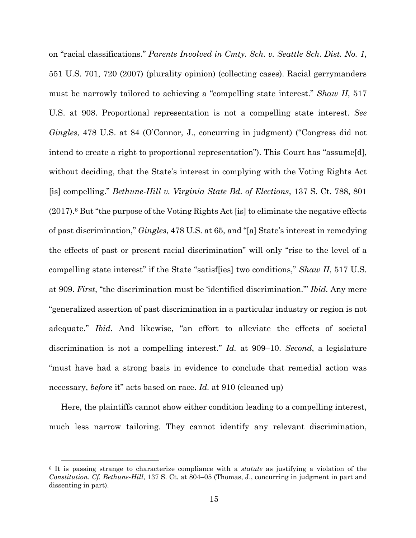on "racial classifications." *Parents Involved in Cmty. Sch. v. Seattle Sch. Dist. No. 1*, 551 U.S. 701, 720 (2007) (plurality opinion) (collecting cases). Racial gerrymanders must be narrowly tailored to achieving a "compelling state interest." *Shaw II*, 517 U.S. at 908. Proportional representation is not a compelling state interest. *See Gingles*, 478 U.S. at 84 (O'Connor, J., concurring in judgment) ("Congress did not intend to create a right to proportional representation"). This Court has "assume[d], without deciding, that the State's interest in complying with the Voting Rights Act [is] compelling." *Bethune-Hill v. Virginia State Bd. of Elections*, 137 S. Ct. 788, 801  $(2017)$ .<sup>6</sup> But "the purpose of the Voting Rights Act [is] to eliminate the negative effects of past discrimination," *Gingles*, 478 U.S. at 65, and "[a] State's interest in remedying the effects of past or present racial discrimination" will only "rise to the level of a compelling state interest" if the State "satisf[ies] two conditions," *Shaw II*, 517 U.S. at 909. *First*, "the discrimination must be 'identified discrimination.'" *Ibid.* Any mere "generalized assertion of past discrimination in a particular industry or region is not adequate." *Ibid.* And likewise, "an effort to alleviate the effects of societal discrimination is not a compelling interest." *Id.* at 909–10. *Second*, a legislature "must have had a strong basis in evidence to conclude that remedial action was necessary, *before* it" acts based on race. *Id.* at 910 (cleaned up)

Here, the plaintiffs cannot show either condition leading to a compelling interest, much less narrow tailoring. They cannot identify any relevant discrimination,

<sup>6</sup> It is passing strange to characterize compliance with a *statute* as justifying a violation of the *Constitution*. *Cf. Bethune-Hill*, 137 S. Ct. at 804–05 (Thomas, J., concurring in judgment in part and dissenting in part).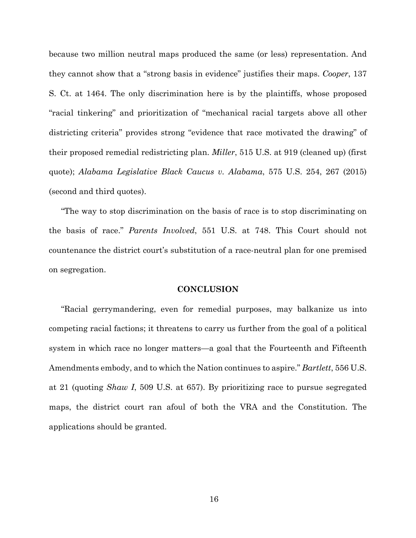because two million neutral maps produced the same (or less) representation. And they cannot show that a "strong basis in evidence" justifies their maps. *Cooper*, 137 S. Ct. at 1464. The only discrimination here is by the plaintiffs, whose proposed "racial tinkering" and prioritization of "mechanical racial targets above all other districting criteria" provides strong "evidence that race motivated the drawing" of their proposed remedial redistricting plan. *Miller*, 515 U.S. at 919 (cleaned up) (first quote); *Alabama Legislative Black Caucus v. Alabama*, 575 U.S. 254, 267 (2015) (second and third quotes).

"The way to stop discrimination on the basis of race is to stop discriminating on the basis of race." *Parents Involved*, 551 U.S. at 748. This Court should not countenance the district court's substitution of a race-neutral plan for one premised on segregation.

## **CONCLUSION**

"Racial gerrymandering, even for remedial purposes, may balkanize us into competing racial factions; it threatens to carry us further from the goal of a political system in which race no longer matters—a goal that the Fourteenth and Fifteenth Amendments embody, and to which the Nation continues to aspire." *Bartlett*, 556 U.S. at 21 (quoting *Shaw I*, 509 U.S. at 657). By prioritizing race to pursue segregated maps, the district court ran afoul of both the VRA and the Constitution. The applications should be granted.